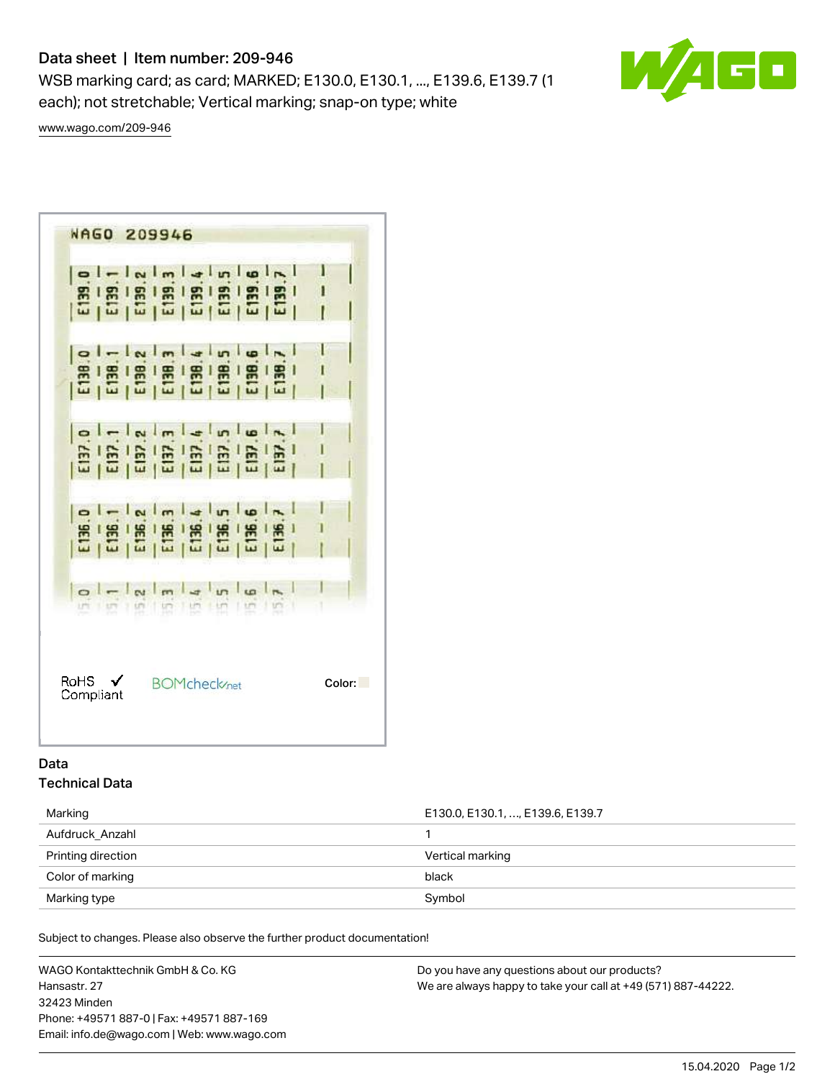# Data sheet | Item number: 209-946

WSB marking card; as card; MARKED; E130.0, E130.1, ..., E139.6, E139.7 (1 each); not stretchable; Vertical marking; snap-on type; white

60

[www.wago.com/209-946](http://www.wago.com/209-946)

|                   | <b>B 8 8 8 8 8 8 8 9</b> |                                |  |  | I      |
|-------------------|--------------------------|--------------------------------|--|--|--------|
|                   |                          |                                |  |  |        |
|                   | $ol -  N  m  A  m  B $   |                                |  |  |        |
| RoHS $\checkmark$ |                          | <b>BOMcheck</b> <sub>net</sub> |  |  | Color: |

# Data Technical Data

Marking **E130.0, E130.1, …, E139.6, E139.7** Aufdruck\_Anzahl 1 Printing direction **Vertical marking** Color of marking black Marking type Symbol Superior Contract of the Symbol Symbol Symbol

Subject to changes. Please also observe the further product documentation!

WAGO Kontakttechnik GmbH & Co. KG Hansastr. 27 32423 Minden Phone: +49571 887-0 | Fax: +49571 887-169 Email: info.de@wago.com | Web: www.wago.com Do you have any questions about our products? We are always happy to take your call at +49 (571) 887-44222.